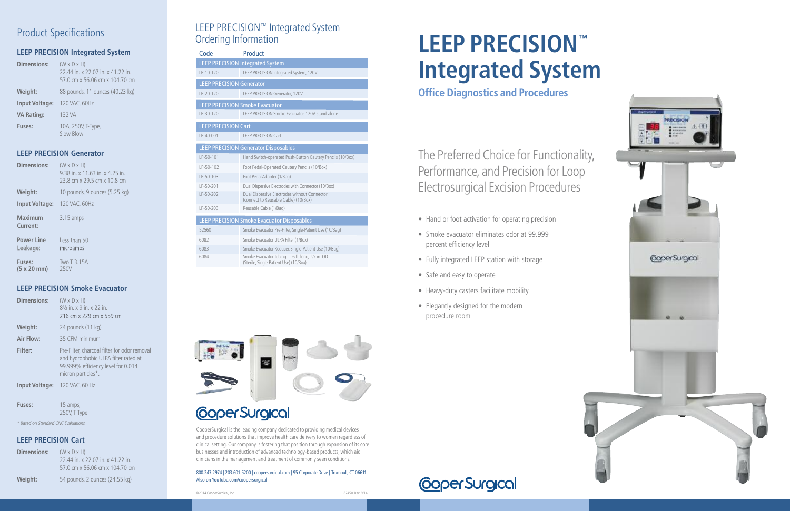### LEEP PRECISION™ Integrated System Ordering Information

CooperSurgical is the leading company dedicated to providing medical devices and procedure solutions that improve health care delivery to women regardless of clinical setting. Our company is fostering that position through expansion of its core businesses and introduction of advanced technology-based products, which aid clinicians in the management and treatment of commonly seen conditions.

800.243.2974 | 203.601.5200 |coopersurgical.com | 95 Corporate Drive | Trumbull, CT 06611 Also on YouTube.com/coopersurgical

## Product Specifications

#### **LEEP PRECISION Integrated System**

| Dimensions:           | $(W \times D \times H)$<br>22.44 in. x 22.07 in. x 41.22 in.<br>57.0 cm x 56.06 cm x 104.70 cm |
|-----------------------|------------------------------------------------------------------------------------------------|
| Weight:               | 88 pounds, 11 ounces (40.23 kg)                                                                |
| <b>Input Voltage:</b> | 120 VAC, 60Hz                                                                                  |
| <b>VA Rating:</b>     | 132 VA                                                                                         |
| <b>Fuses:</b>         | 10A, 250V, T-Type,<br>Slow Blow                                                                |

### **LEEP PRECISION Generator**

| <b>Dimensions:</b>            | $(W \times D \times H)$<br>9.38 in. x 11.63 in. x 4.25 in.<br>23.8 cm x 29.5 cm x 10.8 cm |
|-------------------------------|-------------------------------------------------------------------------------------------|
| Weight:                       | 10 pounds, 9 ounces (5.25 kg)                                                             |
| <b>Input Voltage:</b>         | 120 VAC, 60Hz                                                                             |
| <b>Maximum</b><br>Current:    | $3.15 \text{ amps}$                                                                       |
| <b>Power Line</b><br>Leakage: | Less than 50<br>microamps                                                                 |
| <b>Fuses:</b><br>(5 x 20 mm)  | Two T 3.15A<br>250V                                                                       |

#### **LEEP PRECISION Smoke Evacuator**

| Dimensions:           | $(W \times D \times H)$<br>81/ <sub>2</sub> in. x 9 in. x 22 in.<br>216 cm x 229 cm x 559 cm                                                     |
|-----------------------|--------------------------------------------------------------------------------------------------------------------------------------------------|
| Weight:               | 24 pounds (11 kg)                                                                                                                                |
| Air Flow:             | 35 CFM minimum                                                                                                                                   |
| Filter:               | Pre-Filter, charcoal filter for odor removal<br>and hydrophobic ULPA filter rated at<br>99.999% efficiency level for 0.014<br>micron particles*. |
| <b>Input Voltage:</b> | 120 VAC, 60 Hz                                                                                                                                   |
|                       |                                                                                                                                                  |

**Fuses:** 15 amps, 250V, T-Type

*\* Based on Standard CNC Evaluations*

### **LEEP PRECISION Cart**

| Dimensions: | $(W \times D \times H)$<br>22.44 in. x 22.07 in. x 41.22 in.<br>57.0 cm x 56.06 cm x 104.70 cm |
|-------------|------------------------------------------------------------------------------------------------|
| Weight:     | 54 pounds, 2 ounces (24.55 kg)                                                                 |

# **LEEP PRECISION™ Integrated System**

**Office Diagnostics and Procedures**

## The Preferred Choice for Functionality, Performance, and Precision for Loop Electrosurgical Excision Procedures

- **•** Hand or foot activation for operating precision
- **•** Smoke evacuator eliminates odor at 99.999 percent efficiency level
- **•** Fully integrated LEEP station with storage
- **•** Safe and easy to operate
- **•** Heavy-duty casters facilitate mobility
- **•** Elegantly designed for the modern procedure room





| Code                                              | <b>Product</b>                                                                                       |  |
|---------------------------------------------------|------------------------------------------------------------------------------------------------------|--|
|                                                   | <b>LEEP PRECISION Integrated System</b>                                                              |  |
| $IP-10-120$                                       | LEEP PRECISION Integrated System, 120V                                                               |  |
| <b>LEEP PRECISION Generator</b>                   |                                                                                                      |  |
| $LP-20-120$                                       | LEEP PRECISION Generator, 120V                                                                       |  |
| <b>LEEP PRECISION Smoke Evacuator</b>             |                                                                                                      |  |
| $LP-30-120$                                       | LEEP PRECISION Smoke Evacuator, 120V, stand-alone                                                    |  |
| <b>LEEP PRECISION Cart</b>                        |                                                                                                      |  |
| $IP-40-001$                                       | <b>LEEP PRECISION Cart</b>                                                                           |  |
| <b>LEEP PRECISION Generator Disposables</b>       |                                                                                                      |  |
| $LP-50-101$                                       | Hand Switch-operated Push-Button Cautery Pencils (10/Box)                                            |  |
| $IP-50-102$                                       | Foot Pedal-Operated Cautery Pencils (10/Box)                                                         |  |
| LP-50-103                                         | Foot Pedal Adapter (1/Bag)                                                                           |  |
| $LP-50-201$                                       | Dual Dispersive Electrodes with Connector (10/Box)                                                   |  |
| LP-50-202                                         | Dual Dispersive Electrodes without Connector<br>(connect to Reusable Cable) (10/Box)                 |  |
| $LP-50-203$                                       | Reusable Cable (1/Baq)                                                                               |  |
| <b>LEEP PRECISION Smoke Evacuator Disposables</b> |                                                                                                      |  |
| 52560                                             | Smoke Evacuator Pre-Filter, Single-Patient Use (10/Bag)                                              |  |
| 6082                                              | Smoke Evacuator ULPA Filter (1/Box)                                                                  |  |
| 6083                                              | Smoke Evacuator Reducer, Single-Patient Use (10/Bag)                                                 |  |
| 6084                                              | Smoke Evacuator Tubing $-6$ ft. long, $\frac{1}{2}$ in. OD<br>(Sterile, Single Patient Use) (10/Box) |  |



## **CoperSurgical**